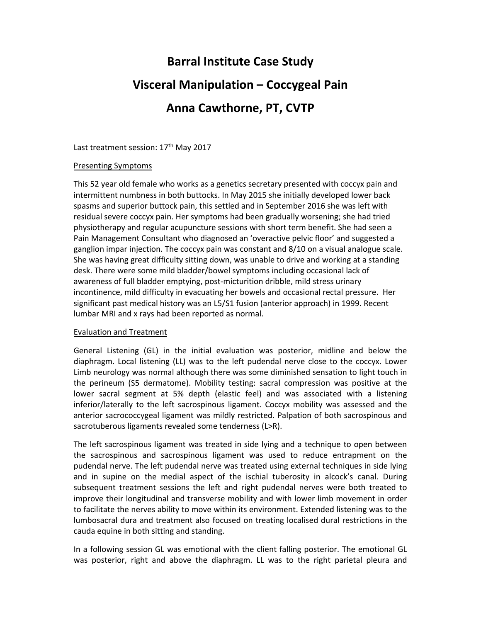## **Barral Institute Case Study Visceral Manipulation – Coccygeal Pain Anna Cawthorne, PT, CVTP**

Last treatment session: 17<sup>th</sup> May 2017

## Presenting Symptoms

This 52 year old female who works as a genetics secretary presented with coccyx pain and intermittent numbness in both buttocks. In May 2015 she initially developed lower back spasms and superior buttock pain, this settled and in September 2016 she was left with residual severe coccyx pain. Her symptoms had been gradually worsening; she had tried physiotherapy and regular acupuncture sessions with short term benefit. She had seen a Pain Management Consultant who diagnosed an 'overactive pelvic floor' and suggested a ganglion impar injection. The coccyx pain was constant and 8/10 on a visual analogue scale. She was having great difficulty sitting down, was unable to drive and working at a standing desk. There were some mild bladder/bowel symptoms including occasional lack of awareness of full bladder emptying, post-micturition dribble, mild stress urinary incontinence, mild difficulty in evacuating her bowels and occasional rectal pressure. Her significant past medical history was an L5/S1 fusion (anterior approach) in 1999. Recent lumbar MRI and x rays had been reported as normal.

## Evaluation and Treatment

General Listening (GL) in the initial evaluation was posterior, midline and below the diaphragm. Local listening (LL) was to the left pudendal nerve close to the coccyx. Lower Limb neurology was normal although there was some diminished sensation to light touch in the perineum (S5 dermatome). Mobility testing: sacral compression was positive at the lower sacral segment at 5% depth (elastic feel) and was associated with a listening inferior/laterally to the left sacrospinous ligament. Coccyx mobility was assessed and the anterior sacrococcygeal ligament was mildly restricted. Palpation of both sacrospinous and sacrotuberous ligaments revealed some tenderness (L>R).

The left sacrospinous ligament was treated in side lying and a technique to open between the sacrospinous and sacrospinous ligament was used to reduce entrapment on the pudendal nerve. The left pudendal nerve was treated using external techniques in side lying and in supine on the medial aspect of the ischial tuberosity in alcock's canal. During subsequent treatment sessions the left and right pudendal nerves were both treated to improve their longitudinal and transverse mobility and with lower limb movement in order to facilitate the nerves ability to move within its environment. Extended listening was to the lumbosacral dura and treatment also focused on treating localised dural restrictions in the cauda equine in both sitting and standing.

In a following session GL was emotional with the client falling posterior. The emotional GL was posterior, right and above the diaphragm. LL was to the right parietal pleura and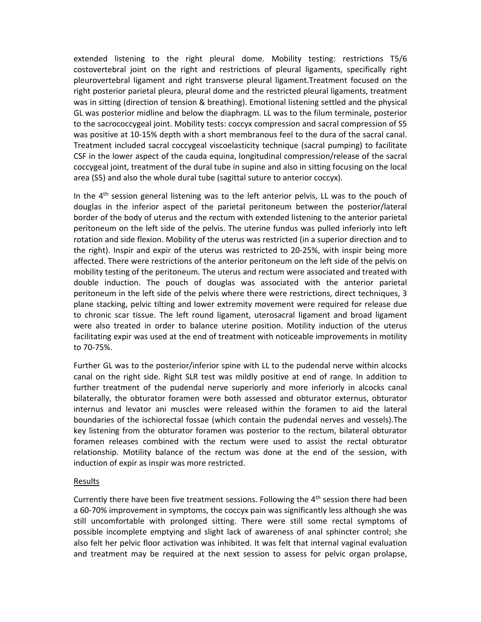extended listening to the right pleural dome. Mobility testing: restrictions T5/6 costovertebral joint on the right and restrictions of pleural ligaments, specifically right pleurovertebral ligament and right transverse pleural ligament.Treatment focused on the right posterior parietal pleura, pleural dome and the restricted pleural ligaments, treatment was in sitting (direction of tension & breathing). Emotional listening settled and the physical GL was posterior midline and below the diaphragm. LL was to the filum terminale, posterior to the sacrococcygeal joint. Mobility tests: coccyx compression and sacral compression of S5 was positive at 10-15% depth with a short membranous feel to the dura of the sacral canal. Treatment included sacral coccygeal viscoelasticity technique (sacral pumping) to facilitate CSF in the lower aspect of the cauda equina, longitudinal compression/release of the sacral coccygeal joint, treatment of the dural tube in supine and also in sitting focusing on the local area (S5) and also the whole dural tube (sagittal suture to anterior coccyx).

In the  $4<sup>th</sup>$  session general listening was to the left anterior pelvis, LL was to the pouch of douglas in the inferior aspect of the parietal peritoneum between the posterior/lateral border of the body of uterus and the rectum with extended listening to the anterior parietal peritoneum on the left side of the pelvis. The uterine fundus was pulled inferiorly into left rotation and side flexion. Mobility of the uterus was restricted (in a superior direction and to the right). Inspir and expir of the uterus was restricted to 20-25%, with inspir being more affected. There were restrictions of the anterior peritoneum on the left side of the pelvis on mobility testing of the peritoneum. The uterus and rectum were associated and treated with double induction. The pouch of douglas was associated with the anterior parietal peritoneum in the left side of the pelvis where there were restrictions, direct techniques, 3 plane stacking, pelvic tilting and lower extremity movement were required for release due to chronic scar tissue. The left round ligament, uterosacral ligament and broad ligament were also treated in order to balance uterine position. Motility induction of the uterus facilitating expir was used at the end of treatment with noticeable improvements in motility to 70‐75%.

Further GL was to the posterior/inferior spine with LL to the pudendal nerve within alcocks canal on the right side. Right SLR test was mildly positive at end of range. In addition to further treatment of the pudendal nerve superiorly and more inferiorly in alcocks canal bilaterally, the obturator foramen were both assessed and obturator externus, obturator internus and levator ani muscles were released within the foramen to aid the lateral boundaries of the ischiorectal fossae (which contain the pudendal nerves and vessels).The key listening from the obturator foramen was posterior to the rectum, bilateral obturator foramen releases combined with the rectum were used to assist the rectal obturator relationship. Motility balance of the rectum was done at the end of the session, with induction of expir as inspir was more restricted.

## Results

Currently there have been five treatment sessions. Following the  $4<sup>th</sup>$  session there had been a 60-70% improvement in symptoms, the coccyx pain was significantly less although she was still uncomfortable with prolonged sitting. There were still some rectal symptoms of possible incomplete emptying and slight lack of awareness of anal sphincter control; she also felt her pelvic floor activation was inhibited. It was felt that internal vaginal evaluation and treatment may be required at the next session to assess for pelvic organ prolapse,